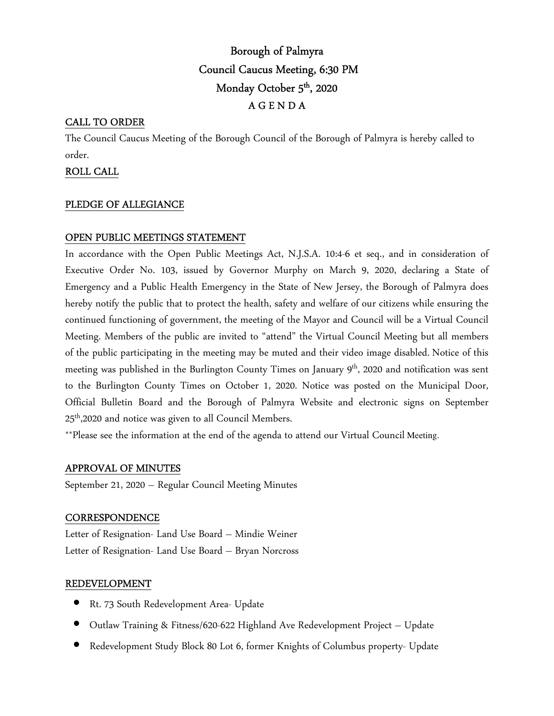# Borough of Palmyra Council Caucus Meeting, 6:30 PM Monday October 5<sup>th</sup>, 2020 A G E N D A

# CALL TO ORDER

The Council Caucus Meeting of the Borough Council of the Borough of Palmyra is hereby called to order.

## ROLL CALL

## PLEDGE OF ALLEGIANCE

## OPEN PUBLIC MEETINGS STATEMENT

In accordance with the Open Public Meetings Act, N.J.S.A. 10:4-6 et seq., and in consideration of Executive Order No. 103, issued by Governor Murphy on March 9, 2020, declaring a State of Emergency and a Public Health Emergency in the State of New Jersey, the Borough of Palmyra does hereby notify the public that to protect the health, safety and welfare of our citizens while ensuring the continued functioning of government, the meeting of the Mayor and Council will be a Virtual Council Meeting. Members of the public are invited to "attend" the Virtual Council Meeting but all members of the public participating in the meeting may be muted and their video image disabled. Notice of this meeting was published in the Burlington County Times on January  $9<sup>th</sup>$ , 2020 and notification was sent to the Burlington County Times on October 1, 2020. Notice was posted on the Municipal Door, Official Bulletin Board and the Borough of Palmyra Website and electronic signs on September 25<sup>th</sup>,2020 and notice was given to all Council Members.

\*\*Please see the information at the end of the agenda to attend our Virtual Council Meeting.

## APPROVAL OF MINUTES

September 21, 2020 – Regular Council Meeting Minutes

#### **CORRESPONDENCE**

Letter of Resignation- Land Use Board – Mindie Weiner Letter of Resignation- Land Use Board – Bryan Norcross

#### REDEVELOPMENT

- Rt. 73 South Redevelopment Area- Update
- Outlaw Training & Fitness/620-622 Highland Ave Redevelopment Project Update
- Redevelopment Study Block 80 Lot 6, former Knights of Columbus property- Update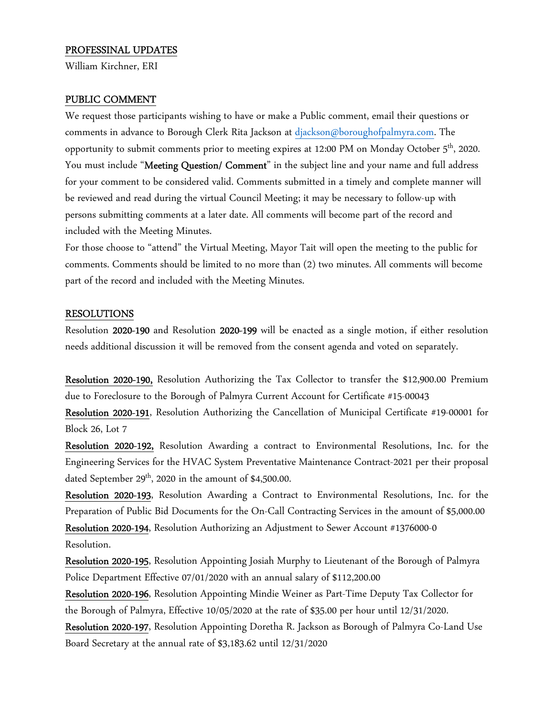## PROFESSINAL UPDATES

William Kirchner, ERI

#### PUBLIC COMMENT

We request those participants wishing to have or make a Public comment, email their questions or comments in advance to Borough Clerk Rita Jackson at djackson@boroughofpalmyra.com. The opportunity to submit comments prior to meeting expires at 12:00 PM on Monday October 5<sup>th</sup>, 2020. You must include "Meeting Question/ Comment" in the subject line and your name and full address for your comment to be considered valid. Comments submitted in a timely and complete manner will be reviewed and read during the virtual Council Meeting; it may be necessary to follow-up with persons submitting comments at a later date. All comments will become part of the record and included with the Meeting Minutes.

For those choose to "attend" the Virtual Meeting, Mayor Tait will open the meeting to the public for comments. Comments should be limited to no more than (2) two minutes. All comments will become part of the record and included with the Meeting Minutes.

#### RESOLUTIONS

Resolution 2020-190 and Resolution 2020-199 will be enacted as a single motion, if either resolution needs additional discussion it will be removed from the consent agenda and voted on separately.

Resolution 2020-190, Resolution Authorizing the Tax Collector to transfer the \$12,900.00 Premium due to Foreclosure to the Borough of Palmyra Current Account for Certificate #15-00043

Resolution 2020-191, Resolution Authorizing the Cancellation of Municipal Certificate #19-00001 for Block 26, Lot 7

Resolution 2020-192, Resolution Awarding a contract to Environmental Resolutions, Inc. for the Engineering Services for the HVAC System Preventative Maintenance Contract-2021 per their proposal dated September  $29<sup>th</sup>$ , 2020 in the amount of \$4,500.00.

Resolution 2020-193, Resolution Awarding a Contract to Environmental Resolutions, Inc. for the Preparation of Public Bid Documents for the On-Call Contracting Services in the amount of \$5,000.00 Resolution 2020-194, Resolution Authorizing an Adjustment to Sewer Account #1376000-0 Resolution.

Resolution 2020-195, Resolution Appointing Josiah Murphy to Lieutenant of the Borough of Palmyra Police Department Effective 07/01/2020 with an annual salary of \$112,200.00

Resolution 2020-196, Resolution Appointing Mindie Weiner as Part-Time Deputy Tax Collector for the Borough of Palmyra, Effective 10/05/2020 at the rate of \$35.00 per hour until 12/31/2020. Resolution 2020-197, Resolution Appointing Doretha R. Jackson as Borough of Palmyra Co-Land Use

Board Secretary at the annual rate of \$3,183.62 until 12/31/2020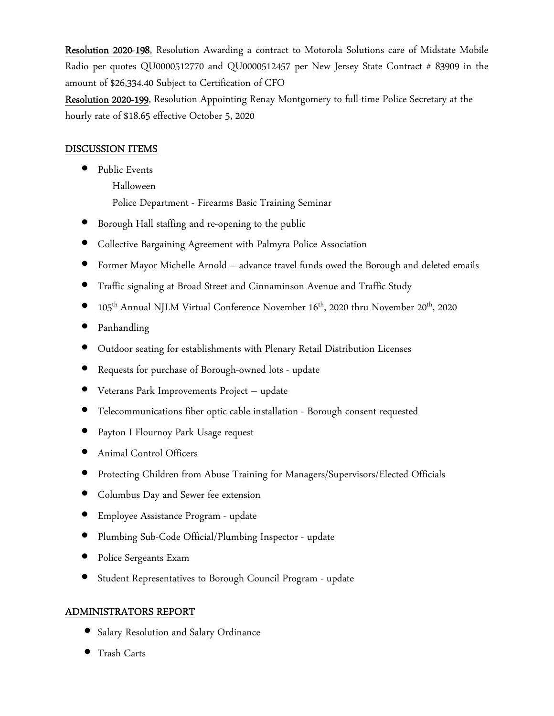Resolution 2020-198, Resolution Awarding a contract to Motorola Solutions care of Midstate Mobile Radio per quotes QU0000512770 and QU0000512457 per New Jersey State Contract # 83909 in the amount of \$26,334.40 Subject to Certification of CFO

Resolution 2020-199, Resolution Appointing Renay Montgomery to full-time Police Secretary at the hourly rate of \$18.65 effective October 5, 2020

## DISCUSSION ITEMS

- Public Events
	- Halloween

Police Department - Firearms Basic Training Seminar

- Borough Hall staffing and re-opening to the public
- Collective Bargaining Agreement with Palmyra Police Association
- Former Mayor Michelle Arnold advance travel funds owed the Borough and deleted emails
- Traffic signaling at Broad Street and Cinnaminson Avenue and Traffic Study
- 105th Annual NJLM Virtual Conference November 16th, 2020 thru November 20th, 2020
- Panhandling
- Outdoor seating for establishments with Plenary Retail Distribution Licenses
- Requests for purchase of Borough-owned lots update
- Veterans Park Improvements Project update
- Telecommunications fiber optic cable installation Borough consent requested
- Payton I Flournoy Park Usage request
- Animal Control Officers
- Protecting Children from Abuse Training for Managers/Supervisors/Elected Officials
- Columbus Day and Sewer fee extension
- Employee Assistance Program update
- Plumbing Sub-Code Official/Plumbing Inspector update
- Police Sergeants Exam
- Student Representatives to Borough Council Program update

# ADMINISTRATORS REPORT

- Salary Resolution and Salary Ordinance
- Trash Carts